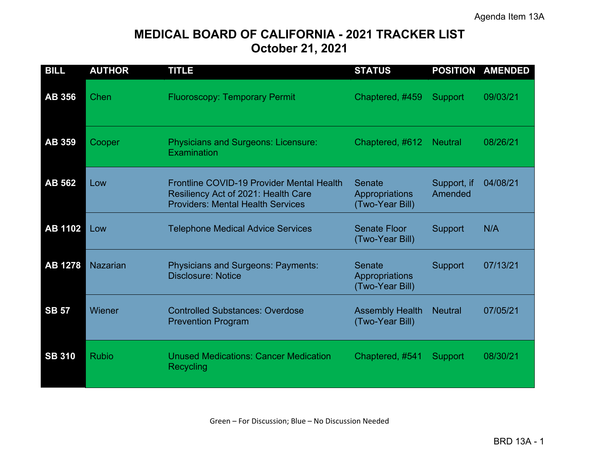# **MEDICAL BOARD OF CALIFORNIA - 2021 TRACKER LIST October 21, 2021**

| <b>BILL</b>    | <b>AUTHOR</b>   | <b>TITLE</b>                                                                                                                        | <b>STATUS</b>                               |                        | <b>POSITION AMENDED</b> |
|----------------|-----------------|-------------------------------------------------------------------------------------------------------------------------------------|---------------------------------------------|------------------------|-------------------------|
| <b>AB 356</b>  | Chen            | <b>Fluoroscopy: Temporary Permit</b>                                                                                                | Chaptered, #459                             | <b>Support</b>         | 09/03/21                |
| <b>AB 359</b>  | Cooper          | <b>Physicians and Surgeons: Licensure:</b><br>Examination                                                                           | Chaptered, #612                             | <b>Neutral</b>         | 08/26/21                |
| <b>AB 562</b>  | Low             | <b>Frontline COVID-19 Provider Mental Health</b><br>Resiliency Act of 2021: Health Care<br><b>Providers: Mental Health Services</b> | Senate<br>Appropriations<br>(Two-Year Bill) | Support, if<br>Amended | 04/08/21                |
| <b>AB 1102</b> | Low             | <b>Telephone Medical Advice Services</b>                                                                                            | <b>Senate Floor</b><br>(Two-Year Bill)      | <b>Support</b>         | N/A                     |
| <b>AB 1278</b> | <b>Nazarian</b> | <b>Physicians and Surgeons: Payments:</b><br><b>Disclosure: Notice</b>                                                              | Senate<br>Appropriations<br>(Two-Year Bill) | <b>Support</b>         | 07/13/21                |
| <b>SB 57</b>   | Wiener          | <b>Controlled Substances: Overdose</b><br><b>Prevention Program</b>                                                                 | <b>Assembly Health</b><br>(Two-Year Bill)   | <b>Neutral</b>         | 07/05/21                |
| <b>SB 310</b>  | <b>Rubio</b>    | <b>Unused Medications: Cancer Medication</b><br>Recycling                                                                           | Chaptered, #541                             | Support                | 08/30/21                |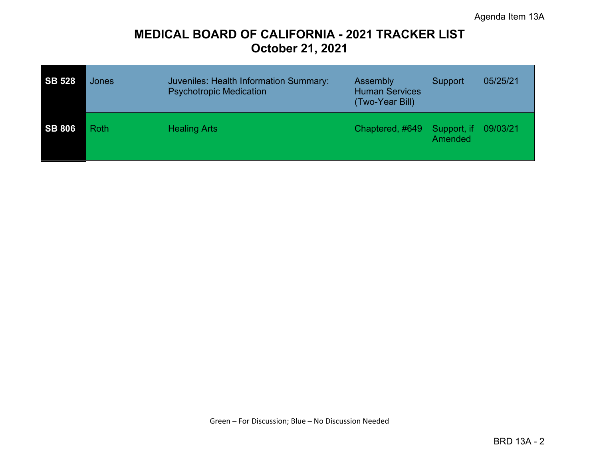# **MEDICAL BOARD OF CALIFORNIA - 2021 TRACKER LIST October 21, 2021**

| <b>SB 528</b> | Jones       | Juveniles: Health Information Summary:<br><b>Psychotropic Medication</b> | Assembly<br><b>Human Services</b><br>(Two-Year Bill) | Support                | 05/25/21 |
|---------------|-------------|--------------------------------------------------------------------------|------------------------------------------------------|------------------------|----------|
| <b>SB 806</b> | <b>Roth</b> | <b>Healing Arts</b>                                                      | Chaptered, #649                                      | Support, if<br>Amended | 09/03/21 |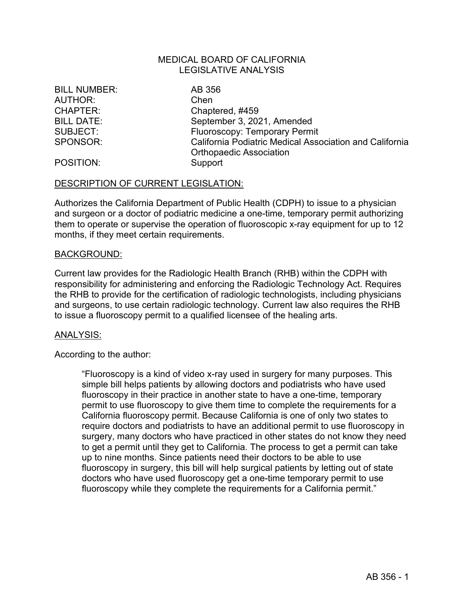## MEDICAL BOARD OF CALIFORNIA LEGISLATIVE ANALYSIS

BILL NUMBER: AB 356 AUTHOR: Chen

CHAPTER: Chaptered, #459 BILL DATE: September 3, 2021, Amended SUBJECT: Fluoroscopy: Temporary Permit SPONSOR: California Podiatric Medical Association and California Orthopaedic Association

POSITION: Support

#### DESCRIPTION OF CURRENT LEGISLATION:

Authorizes the California Department of Public Health (CDPH) to issue to a physician and surgeon or a doctor of podiatric medicine a one-time, temporary permit authorizing them to operate or supervise the operation of fluoroscopic x-ray equipment for up to 12 months, if they meet certain requirements.

#### BACKGROUND:

Current law provides for the Radiologic Health Branch (RHB) within the CDPH with responsibility for administering and enforcing the Radiologic Technology Act. Requires the RHB to provide for the certification of radiologic technologists, including physicians and surgeons, to use certain radiologic technology. Current law also requires the RHB to issue a fluoroscopy permit to a qualified licensee of the healing arts.

#### ANALYSIS:

According to the author:

"Fluoroscopy is a kind of video x-ray used in surgery for many purposes. This simple bill helps patients by allowing doctors and podiatrists who have used fluoroscopy in their practice in another state to have a one-time, temporary permit to use fluoroscopy to give them time to complete the requirements for a California fluoroscopy permit. Because California is one of only two states to require doctors and podiatrists to have an additional permit to use fluoroscopy in surgery, many doctors who have practiced in other states do not know they need to get a permit until they get to California. The process to get a permit can take up to nine months. Since patients need their doctors to be able to use fluoroscopy in surgery, this bill will help surgical patients by letting out of state doctors who have used fluoroscopy get a one-time temporary permit to use fluoroscopy while they complete the requirements for a California permit."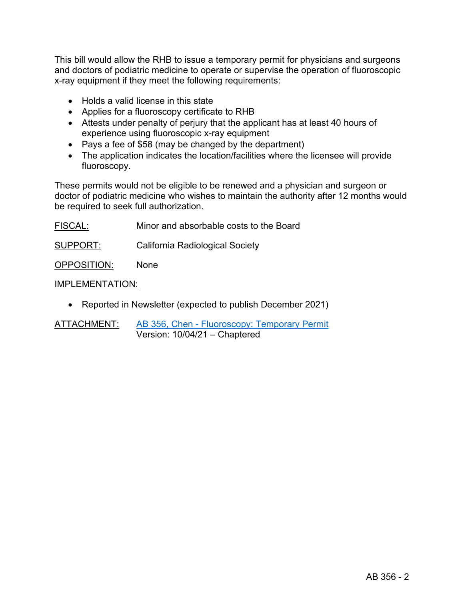This bill would allow the RHB to issue a temporary permit for physicians and surgeons and doctors of podiatric medicine to operate or supervise the operation of fluoroscopic x-ray equipment if they meet the following requirements:

- Holds a valid license in this state
- Applies for a fluoroscopy certificate to RHB
- Attests under penalty of perjury that the applicant has at least 40 hours of experience using fluoroscopic x-ray equipment
- Pays a fee of \$58 (may be changed by the department)
- The application indicates the location/facilities where the licensee will provide fluoroscopy.

These permits would not be eligible to be renewed and a physician and surgeon or doctor of podiatric medicine who wishes to maintain the authority after 12 months would be required to seek full authorization.

| FISCAL:     | Minor and absorbable costs to the Board |
|-------------|-----------------------------------------|
| SUPPORT:    | California Radiological Society         |
| OPPOSITION: | <b>None</b>                             |

# IMPLEMENTATION:

• Reported in Newsletter (expected to publish December 2021)

ATTACHMENT: [AB 356, Chen - Fluoroscopy: Temporary](https://leginfo.legislature.ca.gov/faces/billNavClient.xhtml?bill_id=202120220AB356) Permit Version: 10/04/21 – Chaptered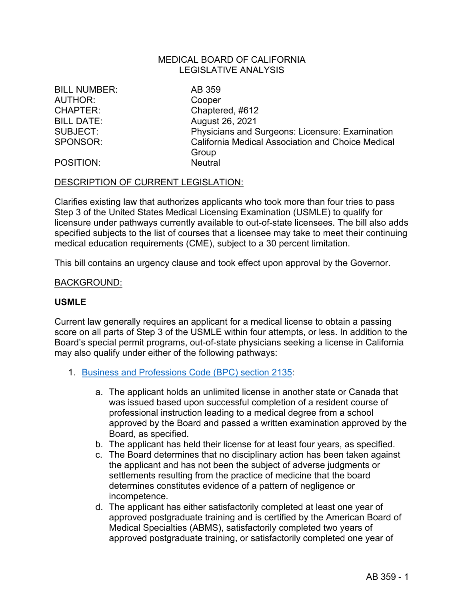## MEDICAL BOARD OF CALIFORNIA LEGISLATIVE ANALYSIS

BILL NUMBER: AB 359 AUTHOR: Cooper

CHAPTER: Chaptered, #612 BILL DATE: August 26, 2021 SUBJECT: Physicians and Surgeons: Licensure: Examination SPONSOR: California Medical Association and Choice Medical Group

#### POSITION: Neutral

#### DESCRIPTION OF CURRENT LEGISLATION:

Clarifies existing law that authorizes applicants who took more than four tries to pass Step 3 of the United States Medical Licensing Examination (USMLE) to qualify for licensure under pathways currently available to out-of-state licensees. The bill also adds specified subjects to the list of courses that a licensee may take to meet their continuing medical education requirements (CME), subject to a 30 percent limitation.

This bill contains an urgency clause and took effect upon approval by the Governor.

#### BACKGROUND:

#### **USMLE**

Current law generally requires an applicant for a medical license to obtain a passing score on all parts of Step 3 of the USMLE within four attempts, or less. In addition to the Board's special permit programs, out-of-state physicians seeking a license in California may also qualify under either of the following pathways:

- 1. [Business and Professions Code \(BPC\) section 2135](https://leginfo.legislature.ca.gov/faces/codes_displaySection.xhtml?sectionNum=2135&lawCode=BPC):
	- a. The applicant holds an unlimited license in another state or Canada that was issued based upon successful completion of a resident course of professional instruction leading to a medical degree from a school approved by the Board and passed a written examination approved by the Board, as specified.
	- b. The applicant has held their license for at least four years, as specified.
	- c. The Board determines that no disciplinary action has been taken against the applicant and has not been the subject of adverse judgments or settlements resulting from the practice of medicine that the board determines constitutes evidence of a pattern of negligence or incompetence.
	- d. The applicant has either satisfactorily completed at least one year of approved postgraduate training and is certified by the American Board of Medical Specialties (ABMS), satisfactorily completed two years of approved postgraduate training, or satisfactorily completed one year of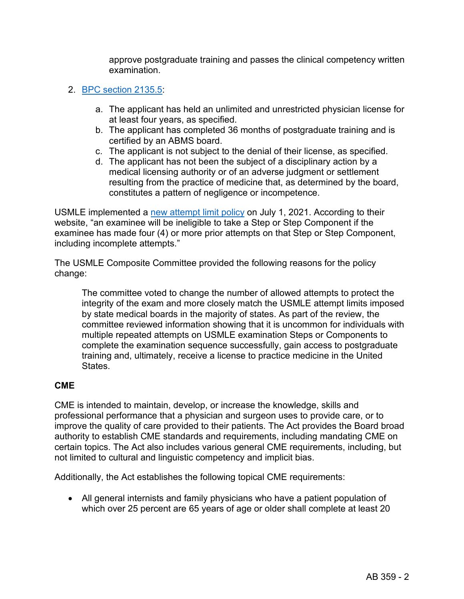approve postgraduate training and passes the clinical competency written examination.

# 2. [BPC section 2135.5:](https://leginfo.legislature.ca.gov/faces/codes_displaySection.xhtml?sectionNum=2135.5.&nodeTreePath=4.7.7&lawCode=BPC)

- a. The applicant has held an unlimited and unrestricted physician license for at least four years, as specified.
- b. The applicant has completed 36 months of postgraduate training and is certified by an ABMS board.
- c. The applicant is not subject to the denial of their license, as specified.
- d. The applicant has not been the subject of a disciplinary action by a medical licensing authority or of an adverse judgment or settlement resulting from the practice of medicine that, as determined by the board, constitutes a pattern of negligence or incompetence.

USMLE implemented a [new attempt limit policy](https://www.usmle.org/attemptlimit.html) on July 1, 2021. According to their website, "an examinee will be ineligible to take a Step or Step Component if the examinee has made four (4) or more prior attempts on that Step or Step Component, including incomplete attempts."

The USMLE Composite Committee provided the following reasons for the policy change:

The committee voted to change the number of allowed attempts to protect the integrity of the exam and more closely match the USMLE attempt limits imposed by state medical boards in the majority of states. As part of the review, the committee reviewed information showing that it is uncommon for individuals with multiple repeated attempts on USMLE examination Steps or Components to complete the examination sequence successfully, gain access to postgraduate training and, ultimately, receive a license to practice medicine in the United States.

# **CME**

CME is intended to maintain, develop, or increase the knowledge, skills and professional performance that a physician and surgeon uses to provide care, or to improve the quality of care provided to their patients. The Act provides the Board broad authority to establish CME standards and requirements, including mandating CME on certain topics. The Act also includes various general CME requirements, including, but not limited to cultural and linguistic competency and implicit bias.

Additionally, the Act establishes the following topical CME requirements:

• All general internists and family physicians who have a patient population of which over 25 percent are 65 years of age or older shall complete at least 20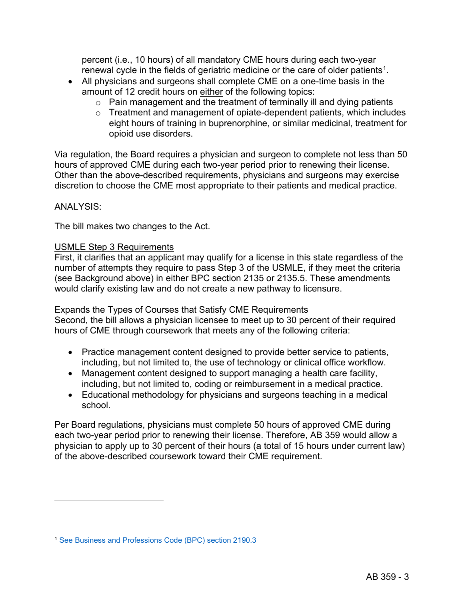percent (i.e., 10 hours) of all mandatory CME hours during each two-year renewal cycle in the fields of geriatric medicine or the care of older patients<sup>1</sup>.

- All physicians and surgeons shall complete CME on a one-time basis in the amount of 12 credit hours on either of the following topics:
	- $\circ$  Pain management and the treatment of terminally ill and dying patients
	- o Treatment and management of opiate-dependent patients, which includes eight hours of training in buprenorphine, or similar medicinal, treatment for opioid use disorders.

Via regulation, the Board requires a physician and surgeon to complete not less than 50 hours of approved CME during each two-year period prior to renewing their license. Other than the above-described requirements, physicians and surgeons may exercise discretion to choose the CME most appropriate to their patients and medical practice.

# ANALYSIS:

The bill makes two changes to the Act.

# USMLE Step 3 Requirements

First, it clarifies that an applicant may qualify for a license in this state regardless of the number of attempts they require to pass Step 3 of the USMLE, if they meet the criteria (see Background above) in either BPC section 2135 or 2135.5. These amendments would clarify existing law and do not create a new pathway to licensure.

# Expands the Types of Courses that Satisfy CME Requirements

Second, the bill allows a physician licensee to meet up to 30 percent of their required hours of CME through coursework that meets any of the following criteria:

- Practice management content designed to provide better service to patients, including, but not limited to, the use of technology or clinical office workflow.
- Management content designed to support managing a health care facility, including, but not limited to, coding or reimbursement in a medical practice.
- Educational methodology for physicians and surgeons teaching in a medical school.

Per Board regulations, physicians must complete 50 hours of approved CME during each two-year period prior to renewing their license. Therefore, AB 359 would allow a physician to apply up to 30 percent of their hours (a total of 15 hours under current law) of the above-described coursework toward their CME requirement.

<span id="page-6-0"></span><sup>1</sup> [See Business and Professions Code \(BPC\) section 2190.3](http://leginfo.legislature.ca.gov/faces/codes_displaySection.xhtml?sectionNum=2190.3&lawCode=BPC)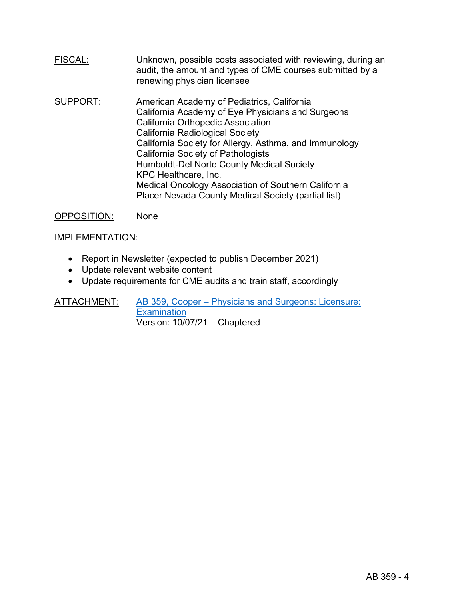- FISCAL: Unknown, possible costs associated with reviewing, during an audit, the amount and types of CME courses submitted by a renewing physician licensee
- SUPPORT: American Academy of Pediatrics, California California Academy of Eye Physicians and Surgeons California Orthopedic Association California Radiological Society California Society for Allergy, Asthma, and Immunology California Society of Pathologists Humboldt-Del Norte County Medical Society KPC Healthcare, Inc. Medical Oncology Association of Southern California Placer Nevada County Medical Society (partial list)

OPPOSITION: None

## IMPLEMENTATION:

- Report in Newsletter (expected to publish December 2021)
- Update relevant website content
- Update requirements for CME audits and train staff, accordingly

ATTACHMENT: [AB 359, Cooper – Physicians and Surgeons: Licensure:](https://leginfo.legislature.ca.gov/faces/billNavClient.xhtml?bill_id=202120220AB359)  **[Examination](https://leginfo.legislature.ca.gov/faces/billNavClient.xhtml?bill_id=202120220AB359)** Version: 10/07/21 – Chaptered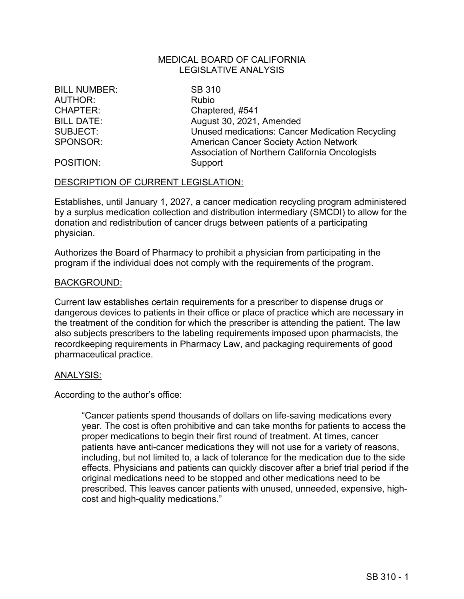## MEDICAL BOARD OF CALIFORNIA LEGISLATIVE ANALYSIS

BILL NUMBER: SB 310 AUTHOR: Rubio

CHAPTER: Chaptered, #541 BILL DATE: August 30, 2021, Amended SUBJECT: Unused medications: Cancer Medication Recycling SPONSOR: American Cancer Society Action Network Association of Northern California Oncologists

#### POSITION: Support

#### DESCRIPTION OF CURRENT LEGISLATION:

Establishes, until January 1, 2027, a cancer medication recycling program administered by a surplus medication collection and distribution intermediary (SMCDI) to allow for the donation and redistribution of cancer drugs between patients of a participating physician.

Authorizes the Board of Pharmacy to prohibit a physician from participating in the program if the individual does not comply with the requirements of the program.

#### BACKGROUND:

Current law establishes certain requirements for a prescriber to dispense drugs or dangerous devices to patients in their office or place of practice which are necessary in the treatment of the condition for which the prescriber is attending the patient. The law also subjects prescribers to the labeling requirements imposed upon pharmacists, the recordkeeping requirements in Pharmacy Law, and packaging requirements of good pharmaceutical practice.

#### ANALYSIS:

According to the author's office:

"Cancer patients spend thousands of dollars on life-saving medications every year. The cost is often prohibitive and can take months for patients to access the proper medications to begin their first round of treatment. At times, cancer patients have anti-cancer medications they will not use for a variety of reasons, including, but not limited to, a lack of tolerance for the medication due to the side effects. Physicians and patients can quickly discover after a brief trial period if the original medications need to be stopped and other medications need to be prescribed. This leaves cancer patients with unused, unneeded, expensive, highcost and high-quality medications."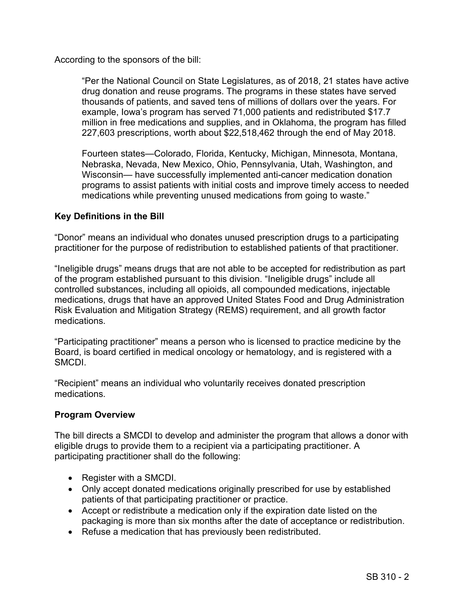According to the sponsors of the bill:

"Per the National Council on State Legislatures, as of 2018, 21 states have active drug donation and reuse programs. The programs in these states have served thousands of patients, and saved tens of millions of dollars over the years. For example, Iowa's program has served 71,000 patients and redistributed \$17.7 million in free medications and supplies, and in Oklahoma, the program has filled 227,603 prescriptions, worth about \$22,518,462 through the end of May 2018.

Fourteen states—Colorado, Florida, Kentucky, Michigan, Minnesota, Montana, Nebraska, Nevada, New Mexico, Ohio, Pennsylvania, Utah, Washington, and Wisconsin— have successfully implemented anti-cancer medication donation programs to assist patients with initial costs and improve timely access to needed medications while preventing unused medications from going to waste."

# **Key Definitions in the Bill**

"Donor" means an individual who donates unused prescription drugs to a participating practitioner for the purpose of redistribution to established patients of that practitioner.

"Ineligible drugs" means drugs that are not able to be accepted for redistribution as part of the program established pursuant to this division. "Ineligible drugs" include all controlled substances, including all opioids, all compounded medications, injectable medications, drugs that have an approved United States Food and Drug Administration Risk Evaluation and Mitigation Strategy (REMS) requirement, and all growth factor medications.

"Participating practitioner" means a person who is licensed to practice medicine by the Board, is board certified in medical oncology or hematology, and is registered with a SMCDI.

"Recipient" means an individual who voluntarily receives donated prescription medications.

# **Program Overview**

The bill directs a SMCDI to develop and administer the program that allows a donor with eligible drugs to provide them to a recipient via a participating practitioner. A participating practitioner shall do the following:

- Register with a SMCDI.
- Only accept donated medications originally prescribed for use by established patients of that participating practitioner or practice.
- Accept or redistribute a medication only if the expiration date listed on the packaging is more than six months after the date of acceptance or redistribution.
- Refuse a medication that has previously been redistributed.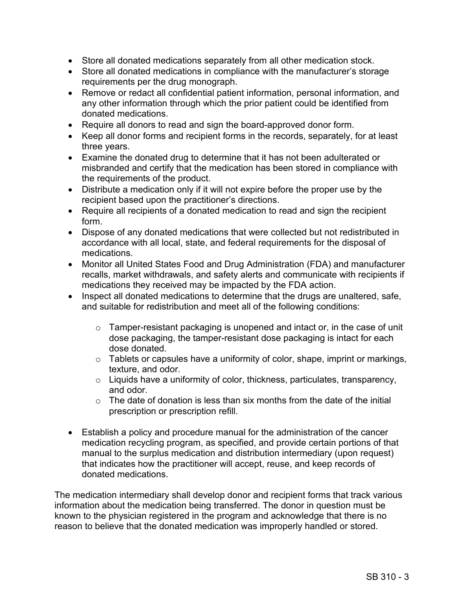- Store all donated medications separately from all other medication stock.
- Store all donated medications in compliance with the manufacturer's storage requirements per the drug monograph.
- Remove or redact all confidential patient information, personal information, and any other information through which the prior patient could be identified from donated medications.
- Require all donors to read and sign the board-approved donor form.
- Keep all donor forms and recipient forms in the records, separately, for at least three years.
- Examine the donated drug to determine that it has not been adulterated or misbranded and certify that the medication has been stored in compliance with the requirements of the product.
- Distribute a medication only if it will not expire before the proper use by the recipient based upon the practitioner's directions.
- Require all recipients of a donated medication to read and sign the recipient form.
- Dispose of any donated medications that were collected but not redistributed in accordance with all local, state, and federal requirements for the disposal of medications.
- Monitor all United States Food and Drug Administration (FDA) and manufacturer recalls, market withdrawals, and safety alerts and communicate with recipients if medications they received may be impacted by the FDA action.
- Inspect all donated medications to determine that the drugs are unaltered, safe, and suitable for redistribution and meet all of the following conditions:
	- $\circ$  Tamper-resistant packaging is unopened and intact or, in the case of unit dose packaging, the tamper-resistant dose packaging is intact for each dose donated.
	- $\circ$  Tablets or capsules have a uniformity of color, shape, imprint or markings, texture, and odor.
	- o Liquids have a uniformity of color, thickness, particulates, transparency, and odor.
	- $\circ$  The date of donation is less than six months from the date of the initial prescription or prescription refill.
- Establish a policy and procedure manual for the administration of the cancer medication recycling program, as specified, and provide certain portions of that manual to the surplus medication and distribution intermediary (upon request) that indicates how the practitioner will accept, reuse, and keep records of donated medications.

The medication intermediary shall develop donor and recipient forms that track various information about the medication being transferred. The donor in question must be known to the physician registered in the program and acknowledge that there is no reason to believe that the donated medication was improperly handled or stored.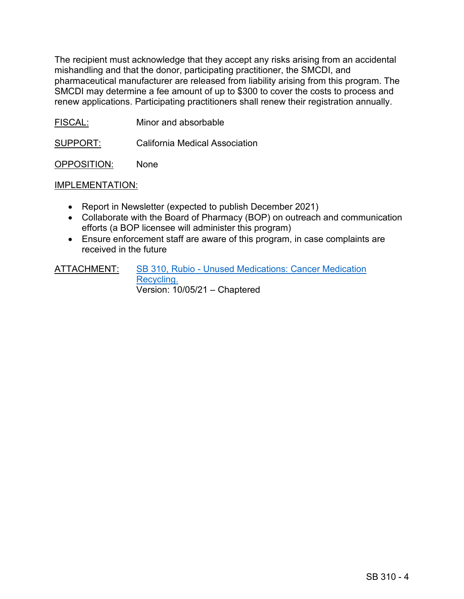The recipient must acknowledge that they accept any risks arising from an accidental mishandling and that the donor, participating practitioner, the SMCDI, and pharmaceutical manufacturer are released from liability arising from this program. The SMCDI may determine a fee amount of up to \$300 to cover the costs to process and renew applications. Participating practitioners shall renew their registration annually.

FISCAL: Minor and absorbable

SUPPORT: California Medical Association

OPPOSITION: None

#### IMPLEMENTATION:

- Report in Newsletter (expected to publish December 2021)
- Collaborate with the Board of Pharmacy (BOP) on outreach and communication efforts (a BOP licensee will administer this program)
- Ensure enforcement staff are aware of this program, in case complaints are received in the future

ATTACHMENT: [SB 310, Rubio - Unused Medications: Cancer Medication](https://leginfo.legislature.ca.gov/faces/billTextClient.xhtml?bill_id=202120220SB310)  [Recycling.](https://leginfo.legislature.ca.gov/faces/billTextClient.xhtml?bill_id=202120220SB310) Version: 10/05/21 – Chaptered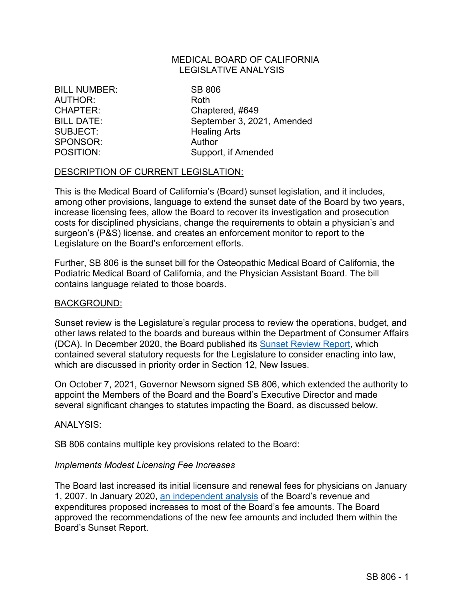### MEDICAL BOARD OF CALIFORNIA LEGISLATIVE ANALYSIS

BILL NUMBER: SB 806 AUTHOR: Roth SUBJECT: Healing Arts SPONSOR: Author

CHAPTER: Chaptered, #649 BILL DATE: September 3, 2021, Amended POSITION: Support, if Amended

# DESCRIPTION OF CURRENT LEGISLATION:

This is the Medical Board of California's (Board) sunset legislation, and it includes, among other provisions, language to extend the sunset date of the Board by two years, increase licensing fees, allow the Board to recover its investigation and prosecution costs for disciplined physicians, change the requirements to obtain a physician's and surgeon's (P&S) license, and creates an enforcement monitor to report to the Legislature on the Board's enforcement efforts.

Further, SB 806 is the sunset bill for the Osteopathic Medical Board of California, the Podiatric Medical Board of California, and the Physician Assistant Board. The bill contains language related to those boards.

#### BACKGROUND:

Sunset review is the Legislature's regular process to review the operations, budget, and other laws related to the boards and bureaus within the Department of Consumer Affairs (DCA). In December 2020, the Board published its [Sunset Review Report,](https://www.mbc.ca.gov/Download/Reports/sunset-report-2020.pdf) which contained several statutory requests for the Legislature to consider enacting into law, which are discussed in priority order in Section 12, New Issues.

On October 7, 2021, Governor Newsom signed SB 806, which extended the authority to appoint the Members of the Board and the Board's Executive Director and made several significant changes to statutes impacting the Board, as discussed below.

#### ANALYSIS:

SB 806 contains multiple key provisions related to the Board:

#### *Implements Modest Licensing Fee Increases*

The Board last increased its initial licensure and renewal fees for physicians on January 1, 2007. In January 2020, [an independent analysis](https://www.mbc.ca.gov/About/Meetings/Material/31223/brd-AgendaItem7-20200130.pdf) of the Board's revenue and expenditures proposed increases to most of the Board's fee amounts. The Board approved the recommendations of the new fee amounts and included them within the Board's Sunset Report.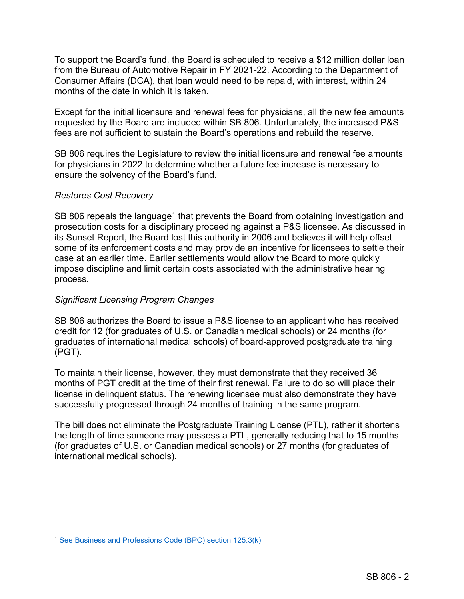To support the Board's fund, the Board is scheduled to receive a \$12 million dollar loan from the Bureau of Automotive Repair in FY 2021-22. According to the Department of Consumer Affairs (DCA), that loan would need to be repaid, with interest, within 24 months of the date in which it is taken.

Except for the initial licensure and renewal fees for physicians, all the new fee amounts requested by the Board are included within SB 806. Unfortunately, the increased P&S fees are not sufficient to sustain the Board's operations and rebuild the reserve.

SB 806 requires the Legislature to review the initial licensure and renewal fee amounts for physicians in 2022 to determine whether a future fee increase is necessary to ensure the solvency of the Board's fund.

# *Restores Cost Recovery*

SB 806 repeals the language<sup>[1](#page-13-0)</sup> that prevents the Board from obtaining investigation and prosecution costs for a disciplinary proceeding against a P&S licensee. As discussed in its Sunset Report, the Board lost this authority in 2006 and believes it will help offset some of its enforcement costs and may provide an incentive for licensees to settle their case at an earlier time. Earlier settlements would allow the Board to more quickly impose discipline and limit certain costs associated with the administrative hearing process.

# *Significant Licensing Program Changes*

SB 806 authorizes the Board to issue a P&S license to an applicant who has received credit for 12 (for graduates of U.S. or Canadian medical schools) or 24 months (for graduates of international medical schools) of board-approved postgraduate training (PGT).

To maintain their license, however, they must demonstrate that they received 36 months of PGT credit at the time of their first renewal. Failure to do so will place their license in delinquent status. The renewing licensee must also demonstrate they have successfully progressed through 24 months of training in the same program.

The bill does not eliminate the Postgraduate Training License (PTL), rather it shortens the length of time someone may possess a PTL, generally reducing that to 15 months (for graduates of U.S. or Canadian medical schools) or 27 months (for graduates of international medical schools).

<span id="page-13-0"></span><sup>&</sup>lt;sup>1</sup> [See Business and Professions Code \(BPC\) section 125.3\(k\)](https://leginfo.legislature.ca.gov/faces/codes_displaySection.xhtml?sectionNum=125.3.&lawCode=BPC)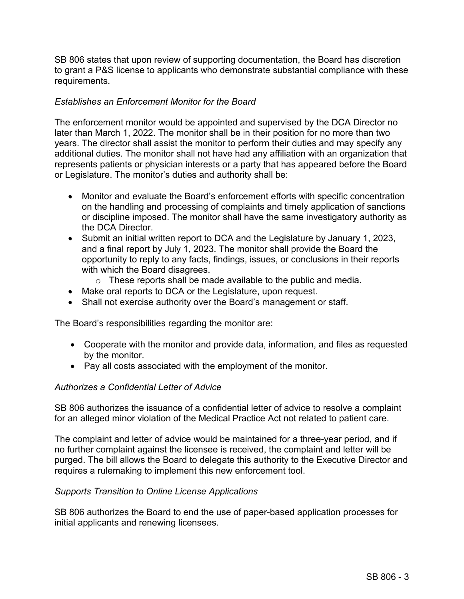SB 806 states that upon review of supporting documentation, the Board has discretion to grant a P&S license to applicants who demonstrate substantial compliance with these requirements.

# *Establishes an Enforcement Monitor for the Board*

The enforcement monitor would be appointed and supervised by the DCA Director no later than March 1, 2022. The monitor shall be in their position for no more than two years. The director shall assist the monitor to perform their duties and may specify any additional duties. The monitor shall not have had any affiliation with an organization that represents patients or physician interests or a party that has appeared before the Board or Legislature. The monitor's duties and authority shall be:

- Monitor and evaluate the Board's enforcement efforts with specific concentration on the handling and processing of complaints and timely application of sanctions or discipline imposed. The monitor shall have the same investigatory authority as the DCA Director.
- Submit an initial written report to DCA and the Legislature by January 1, 2023, and a final report by July 1, 2023. The monitor shall provide the Board the opportunity to reply to any facts, findings, issues, or conclusions in their reports with which the Board disagrees.
	- o These reports shall be made available to the public and media.
- Make oral reports to DCA or the Legislature, upon request.
- Shall not exercise authority over the Board's management or staff.

The Board's responsibilities regarding the monitor are:

- Cooperate with the monitor and provide data, information, and files as requested by the monitor.
- Pay all costs associated with the employment of the monitor.

# *Authorizes a Confidential Letter of Advice*

SB 806 authorizes the issuance of a confidential letter of advice to resolve a complaint for an alleged minor violation of the Medical Practice Act not related to patient care.

The complaint and letter of advice would be maintained for a three-year period, and if no further complaint against the licensee is received, the complaint and letter will be purged. The bill allows the Board to delegate this authority to the Executive Director and requires a rulemaking to implement this new enforcement tool.

# *Supports Transition to Online License Applications*

SB 806 authorizes the Board to end the use of paper-based application processes for initial applicants and renewing licensees.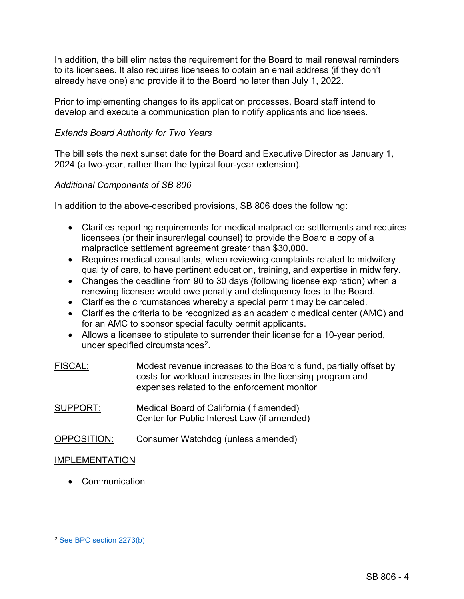In addition, the bill eliminates the requirement for the Board to mail renewal reminders to its licensees. It also requires licensees to obtain an email address (if they don't already have one) and provide it to the Board no later than July 1, 2022.

Prior to implementing changes to its application processes, Board staff intend to develop and execute a communication plan to notify applicants and licensees.

# *Extends Board Authority for Two Years*

The bill sets the next sunset date for the Board and Executive Director as January 1, 2024 (a two-year, rather than the typical four-year extension).

# *Additional Components of SB 806*

In addition to the above-described provisions, SB 806 does the following:

- Clarifies reporting requirements for medical malpractice settlements and requires licensees (or their insurer/legal counsel) to provide the Board a copy of a malpractice settlement agreement greater than \$30,000.
- Requires medical consultants, when reviewing complaints related to midwifery quality of care, to have pertinent education, training, and expertise in midwifery.
- Changes the deadline from 90 to 30 days (following license expiration) when a renewing licensee would owe penalty and delinquency fees to the Board.
- Clarifies the circumstances whereby a special permit may be canceled.
- Clarifies the criteria to be recognized as an academic medical center (AMC) and for an AMC to sponsor special faculty permit applicants.
- Allows a licensee to stipulate to surrender their license for a 10-year period, under specified circumstances<sup>[2](#page-15-0)</sup>.
- FISCAL: Modest revenue increases to the Board's fund, partially offset by costs for workload increases in the licensing program and expenses related to the enforcement monitor SUPPORT: Medical Board of California (if amended) Center for Public Interest Law (if amended)
- OPPOSITION: Consumer Watchdog (unless amended)

# IMPLEMENTATION

• Communication

<span id="page-15-0"></span><sup>2</sup> [See BPC section 2273\(b\)](https://leginfo.legislature.ca.gov/faces/codes_displaySection.xhtml?sectionNum=2273&lawCode=BPC)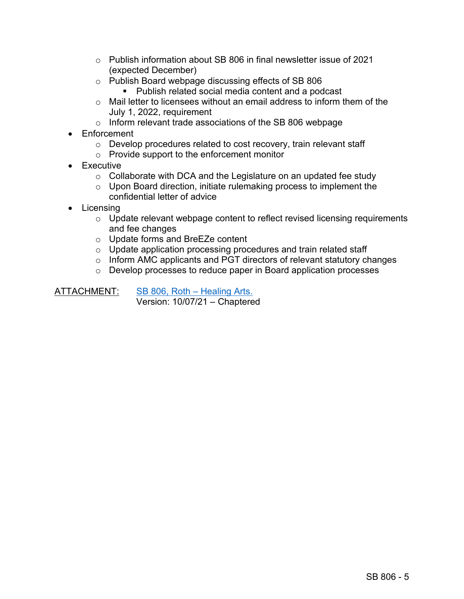- $\circ$  Publish information about SB 806 in final newsletter issue of 2021 (expected December)
- o Publish Board webpage discussing effects of SB 806
	- Publish related social media content and a podcast
- $\circ$  Mail letter to licensees without an email address to inform them of the July 1, 2022, requirement
- o Inform relevant trade associations of the SB 806 webpage
- Enforcement
	- o Develop procedures related to cost recovery, train relevant staff
	- o Provide support to the enforcement monitor
- Executive
	- $\circ$  Collaborate with DCA and the Legislature on an updated fee study
	- $\circ$  Upon Board direction, initiate rulemaking process to implement the confidential letter of advice
- Licensing
	- o Update relevant webpage content to reflect revised licensing requirements and fee changes
	- o Update forms and BreEZe content
	- o Update application processing procedures and train related staff
	- o Inform AMC applicants and PGT directors of relevant statutory changes
	- o Develop processes to reduce paper in Board application processes

ATTACHMENT: SB 806, Roth - Healing Arts. Version: 10/07/21 – Chaptered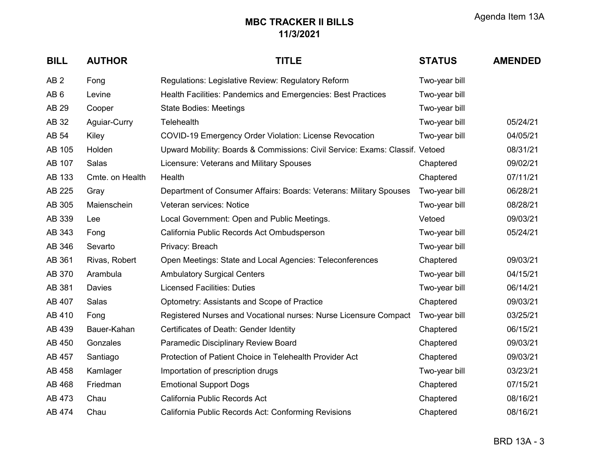| <b>BILL</b>     | <b>AUTHOR</b>   | <b>TITLE</b>                                                                 | <b>STATUS</b> | <b>AMENDED</b> |
|-----------------|-----------------|------------------------------------------------------------------------------|---------------|----------------|
| AB <sub>2</sub> | Fong            | Regulations: Legislative Review: Regulatory Reform                           | Two-year bill |                |
| AB <sub>6</sub> | Levine          | Health Facilities: Pandemics and Emergencies: Best Practices                 | Two-year bill |                |
| AB 29           | Cooper          | <b>State Bodies: Meetings</b>                                                | Two-year bill |                |
| AB 32           | Aguiar-Curry    | <b>Telehealth</b>                                                            | Two-year bill | 05/24/21       |
| AB 54           | Kiley           | <b>COVID-19 Emergency Order Violation: License Revocation</b>                | Two-year bill | 04/05/21       |
| AB 105          | Holden          | Upward Mobility: Boards & Commissions: Civil Service: Exams: Classif. Vetoed |               | 08/31/21       |
| AB 107          | Salas           | Licensure: Veterans and Military Spouses                                     | Chaptered     | 09/02/21       |
| AB 133          | Cmte. on Health | Health                                                                       | Chaptered     | 07/11/21       |
| AB 225          | Gray            | Department of Consumer Affairs: Boards: Veterans: Military Spouses           | Two-year bill | 06/28/21       |
| AB 305          | Maienschein     | Veteran services: Notice                                                     | Two-year bill | 08/28/21       |
| AB 339          | Lee             | Local Government: Open and Public Meetings.                                  | Vetoed        | 09/03/21       |
| AB 343          | Fong            | California Public Records Act Ombudsperson                                   | Two-year bill | 05/24/21       |
| AB 346          | Sevarto         | Privacy: Breach                                                              | Two-year bill |                |
| AB 361          | Rivas, Robert   | Open Meetings: State and Local Agencies: Teleconferences                     | Chaptered     | 09/03/21       |
| AB 370          | Arambula        | <b>Ambulatory Surgical Centers</b>                                           | Two-year bill | 04/15/21       |
| AB 381          | Davies          | <b>Licensed Facilities: Duties</b>                                           | Two-year bill | 06/14/21       |
| AB 407          | Salas           | Optometry: Assistants and Scope of Practice                                  | Chaptered     | 09/03/21       |
| AB 410          | Fong            | Registered Nurses and Vocational nurses: Nurse Licensure Compact             | Two-year bill | 03/25/21       |
| AB 439          | Bauer-Kahan     | Certificates of Death: Gender Identity                                       | Chaptered     | 06/15/21       |
| AB 450          | Gonzales        | Paramedic Disciplinary Review Board                                          | Chaptered     | 09/03/21       |
| AB 457          | Santiago        | Protection of Patient Choice in Telehealth Provider Act                      | Chaptered     | 09/03/21       |
| AB 458          | Kamlager        | Importation of prescription drugs                                            | Two-year bill | 03/23/21       |
| AB 468          | Friedman        | <b>Emotional Support Dogs</b>                                                | Chaptered     | 07/15/21       |
| AB 473          | Chau            | California Public Records Act                                                | Chaptered     | 08/16/21       |
| AB 474          | Chau            | California Public Records Act: Conforming Revisions                          | Chaptered     | 08/16/21       |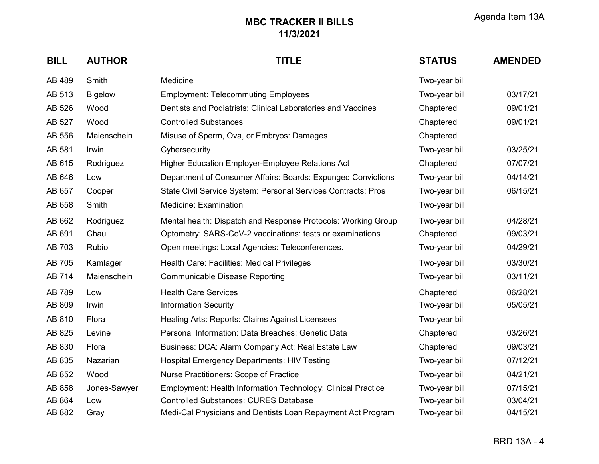| <b>BILL</b> | <b>AUTHOR</b>  | <b>TITLE</b>                                                  | <b>STATUS</b> | <b>AMENDED</b> |
|-------------|----------------|---------------------------------------------------------------|---------------|----------------|
| AB 489      | Smith          | Medicine                                                      | Two-year bill |                |
| AB 513      | <b>Bigelow</b> | <b>Employment: Telecommuting Employees</b>                    | Two-year bill | 03/17/21       |
| AB 526      | Wood           | Dentists and Podiatrists: Clinical Laboratories and Vaccines  | Chaptered     | 09/01/21       |
| AB 527      | Wood           | <b>Controlled Substances</b>                                  | Chaptered     | 09/01/21       |
| AB 556      | Maienschein    | Misuse of Sperm, Ova, or Embryos: Damages                     | Chaptered     |                |
| AB 581      | Irwin          | Cybersecurity                                                 | Two-year bill | 03/25/21       |
| AB 615      | Rodriguez      | <b>Higher Education Employer-Employee Relations Act</b>       | Chaptered     | 07/07/21       |
| AB 646      | Low            | Department of Consumer Affairs: Boards: Expunged Convictions  | Two-year bill | 04/14/21       |
| AB 657      | Cooper         | State Civil Service System: Personal Services Contracts: Pros | Two-year bill | 06/15/21       |
| AB 658      | Smith          | Medicine: Examination                                         | Two-year bill |                |
| AB 662      | Rodriguez      | Mental health: Dispatch and Response Protocols: Working Group | Two-year bill | 04/28/21       |
| AB 691      | Chau           | Optometry: SARS-CoV-2 vaccinations: tests or examinations     | Chaptered     | 09/03/21       |
| AB 703      | Rubio          | Open meetings: Local Agencies: Teleconferences.               | Two-year bill | 04/29/21       |
| AB 705      | Kamlager       | Health Care: Facilities: Medical Privileges                   | Two-year bill | 03/30/21       |
| AB 714      | Maienschein    | <b>Communicable Disease Reporting</b>                         | Two-year bill | 03/11/21       |
| AB 789      | Low            | <b>Health Care Services</b>                                   | Chaptered     | 06/28/21       |
| AB 809      | Irwin          | <b>Information Security</b>                                   | Two-year bill | 05/05/21       |
| AB 810      | Flora          | Healing Arts: Reports: Claims Against Licensees               | Two-year bill |                |
| AB 825      | Levine         | Personal Information: Data Breaches: Genetic Data             | Chaptered     | 03/26/21       |
| AB 830      | Flora          | Business: DCA: Alarm Company Act: Real Estate Law             | Chaptered     | 09/03/21       |
| AB 835      | Nazarian       | <b>Hospital Emergency Departments: HIV Testing</b>            | Two-year bill | 07/12/21       |
| AB 852      | Wood           | Nurse Practitioners: Scope of Practice                        | Two-year bill | 04/21/21       |
| AB 858      | Jones-Sawyer   | Employment: Health Information Technology: Clinical Practice  | Two-year bill | 07/15/21       |
| AB 864      | Low            | <b>Controlled Substances: CURES Database</b>                  | Two-year bill | 03/04/21       |
| AB 882      | Gray           | Medi-Cal Physicians and Dentists Loan Repayment Act Program   | Two-year bill | 04/15/21       |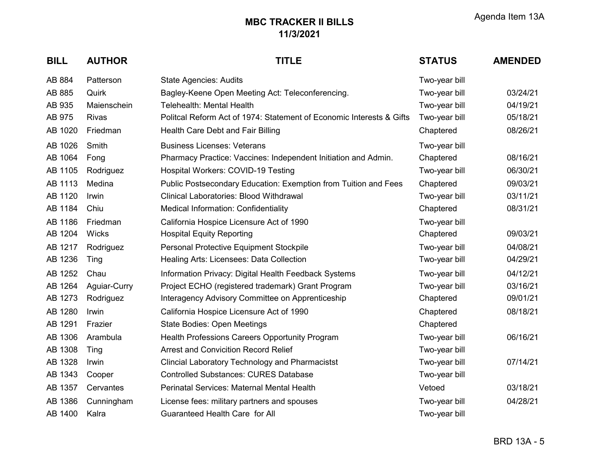| <b>BILL</b> | <b>AUTHOR</b> | <b>TITLE</b>                                                         | <b>STATUS</b> | <b>AMENDED</b> |
|-------------|---------------|----------------------------------------------------------------------|---------------|----------------|
| AB 884      | Patterson     | <b>State Agencies: Audits</b>                                        | Two-year bill |                |
| AB 885      | Quirk         | Bagley-Keene Open Meeting Act: Teleconferencing.                     | Two-year bill | 03/24/21       |
| AB 935      | Maienschein   | <b>Telehealth: Mental Health</b>                                     | Two-year bill | 04/19/21       |
| AB 975      | <b>Rivas</b>  | Politcal Reform Act of 1974: Statement of Economic Interests & Gifts | Two-year bill | 05/18/21       |
| AB 1020     | Friedman      | Health Care Debt and Fair Billing                                    | Chaptered     | 08/26/21       |
| AB 1026     | Smith         | <b>Business Licenses: Veterans</b>                                   | Two-year bill |                |
| AB 1064     | Fong          | Pharmacy Practice: Vaccines: Independent Initiation and Admin.       | Chaptered     | 08/16/21       |
| AB 1105     | Rodriguez     | Hospital Workers: COVID-19 Testing                                   | Two-year bill | 06/30/21       |
| AB 1113     | Medina        | Public Postsecondary Education: Exemption from Tuition and Fees      | Chaptered     | 09/03/21       |
| AB 1120     | Irwin         | <b>Clinical Laboratories: Blood Withdrawal</b>                       | Two-year bill | 03/11/21       |
| AB 1184     | Chiu          | <b>Medical Information: Confidentiality</b>                          | Chaptered     | 08/31/21       |
| AB 1186     | Friedman      | California Hospice Licensure Act of 1990                             | Two-year bill |                |
| AB 1204     | Wicks         | <b>Hospital Equity Reporting</b>                                     | Chaptered     | 09/03/21       |
| AB 1217     | Rodriguez     | Personal Protective Equipment Stockpile                              | Two-year bill | 04/08/21       |
| AB 1236     | Ting          | Healing Arts: Licensees: Data Collection                             | Two-year bill | 04/29/21       |
| AB 1252     | Chau          | Information Privacy: Digital Health Feedback Systems                 | Two-year bill | 04/12/21       |
| AB 1264     | Aguiar-Curry  | Project ECHO (registered trademark) Grant Program                    | Two-year bill | 03/16/21       |
| AB 1273     | Rodriguez     | Interagency Advisory Committee on Apprenticeship                     | Chaptered     | 09/01/21       |
| AB 1280     | Irwin         | California Hospice Licensure Act of 1990                             | Chaptered     | 08/18/21       |
| AB 1291     | Frazier       | <b>State Bodies: Open Meetings</b>                                   | Chaptered     |                |
| AB 1306     | Arambula      | Health Professions Careers Opportunity Program                       | Two-year bill | 06/16/21       |
| AB 1308     | Ting          | <b>Arrest and Convicition Record Relief</b>                          | Two-year bill |                |
| AB 1328     | Irwin         | <b>Clincial Laboratory Technology and Pharmacistst</b>               | Two-year bill | 07/14/21       |
| AB 1343     | Cooper        | <b>Controlled Substances: CURES Database</b>                         | Two-year bill |                |
| AB 1357     | Cervantes     | Perinatal Services: Maternal Mental Health                           | Vetoed        | 03/18/21       |
| AB 1386     | Cunningham    | License fees: military partners and spouses                          | Two-year bill | 04/28/21       |
| AB 1400     | Kalra         | Guaranteed Health Care for All                                       | Two-year bill |                |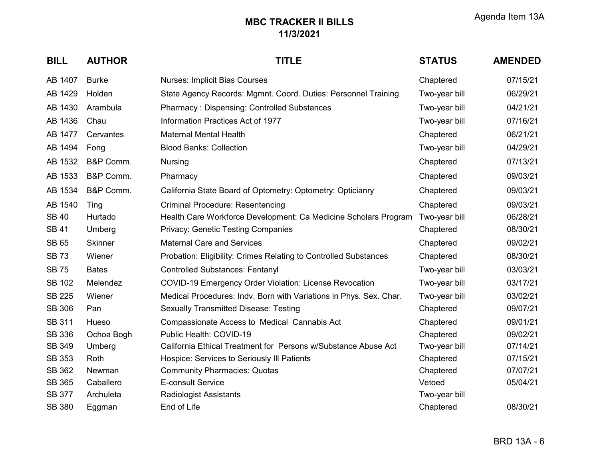| <b>BILL</b>   | <b>AUTHOR</b>  | <b>TITLE</b>                                                       | <b>STATUS</b> | <b>AMENDED</b> |
|---------------|----------------|--------------------------------------------------------------------|---------------|----------------|
| AB 1407       | <b>Burke</b>   | <b>Nurses: Implicit Bias Courses</b>                               | Chaptered     | 07/15/21       |
| AB 1429       | Holden         | State Agency Records: Mgmnt. Coord. Duties: Personnel Training     | Two-year bill | 06/29/21       |
| AB 1430       | Arambula       | <b>Pharmacy: Dispensing: Controlled Substances</b>                 | Two-year bill | 04/21/21       |
| AB 1436       | Chau           | Information Practices Act of 1977                                  | Two-year bill | 07/16/21       |
| AB 1477       | Cervantes      | <b>Maternal Mental Health</b>                                      | Chaptered     | 06/21/21       |
| AB 1494       | Fong           | <b>Blood Banks: Collection</b>                                     | Two-year bill | 04/29/21       |
| AB 1532       | B&P Comm.      | Nursing                                                            | Chaptered     | 07/13/21       |
| AB 1533       | B&P Comm.      | Pharmacy                                                           | Chaptered     | 09/03/21       |
| AB 1534       | B&P Comm.      | California State Board of Optometry: Optometry: Opticianry         | Chaptered     | 09/03/21       |
| AB 1540       | Ting           | <b>Criminal Procedure: Resentencing</b>                            | Chaptered     | 09/03/21       |
| <b>SB 40</b>  | Hurtado        | Health Care Workforce Development: Ca Medicine Scholars Program    | Two-year bill | 06/28/21       |
| <b>SB 41</b>  | Umberg         | <b>Privacy: Genetic Testing Companies</b>                          | Chaptered     | 08/30/21       |
| <b>SB 65</b>  | <b>Skinner</b> | <b>Maternal Care and Services</b>                                  | Chaptered     | 09/02/21       |
| <b>SB73</b>   | Wiener         | Probation: Eligibility: Crimes Relating to Controlled Substances   | Chaptered     | 08/30/21       |
| <b>SB75</b>   | <b>Bates</b>   | <b>Controlled Substances: Fentanyl</b>                             | Two-year bill | 03/03/21       |
| <b>SB 102</b> | Melendez       | <b>COVID-19 Emergency Order Violation: License Revocation</b>      | Two-year bill | 03/17/21       |
| <b>SB 225</b> | Wiener         | Medical Procedures: Indv. Born with Variations in Phys. Sex. Char. | Two-year bill | 03/02/21       |
| <b>SB 306</b> | Pan            | <b>Sexually Transmitted Disease: Testing</b>                       | Chaptered     | 09/07/21       |
| <b>SB 311</b> | Hueso          | Compassionate Access to Medical Cannabis Act                       | Chaptered     | 09/01/21       |
| <b>SB 336</b> | Ochoa Bogh     | Public Health: COVID-19                                            | Chaptered     | 09/02/21       |
| <b>SB 349</b> | Umberg         | California Ethical Treatment for Persons w/Substance Abuse Act     | Two-year bill | 07/14/21       |
| <b>SB 353</b> | Roth           | Hospice: Services to Seriously III Patients                        | Chaptered     | 07/15/21       |
| <b>SB 362</b> | Newman         | <b>Community Pharmacies: Quotas</b>                                | Chaptered     | 07/07/21       |
| <b>SB 365</b> | Caballero      | E-consult Service                                                  | Vetoed        | 05/04/21       |
| <b>SB 377</b> | Archuleta      | <b>Radiologist Assistants</b>                                      | Two-year bill |                |
| <b>SB 380</b> | Eggman         | End of Life                                                        | Chaptered     | 08/30/21       |